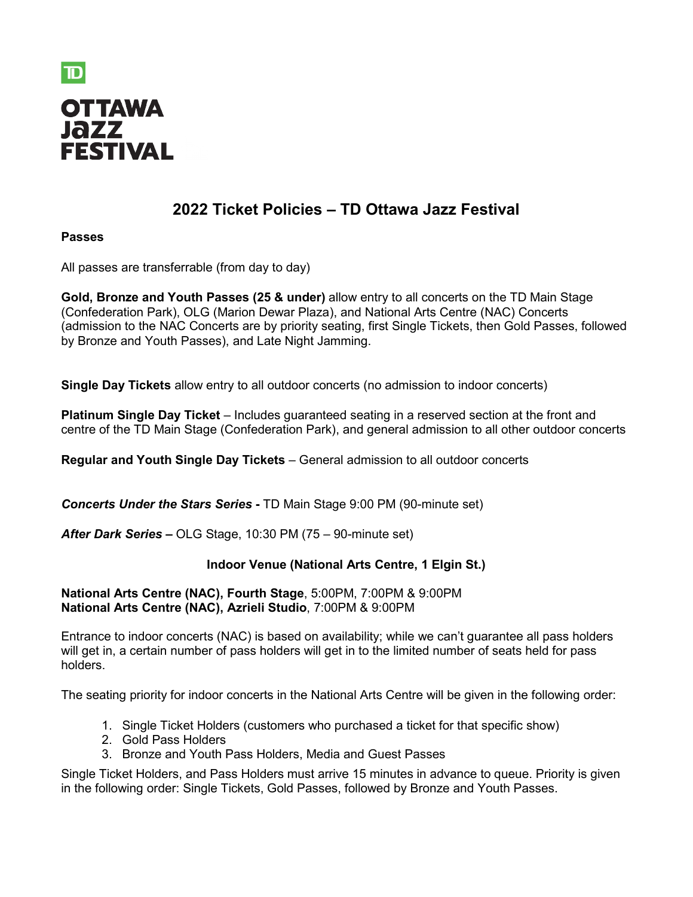

# **2022 Ticket Policies – TD Ottawa Jazz Festival**

# **Passes**

All passes are transferrable (from day to day)

**Gold, Bronze and Youth Passes (25 & under)** allow entry to all concerts on the TD Main Stage (Confederation Park), OLG (Marion Dewar Plaza), and National Arts Centre (NAC) Concerts (admission to the NAC Concerts are by priority seating, first Single Tickets, then Gold Passes, followed by Bronze and Youth Passes), and Late Night Jamming.

**Single Day Tickets** allow entry to all outdoor concerts (no admission to indoor concerts)

**Platinum Single Day Ticket** – Includes guaranteed seating in a reserved section at the front and centre of the TD Main Stage (Confederation Park), and general admission to all other outdoor concerts

**Regular and Youth Single Day Tickets** – General admission to all outdoor concerts

*Concerts Under the Stars Series* **-** TD Main Stage 9:00 PM (90-minute set)

*After Dark Series* **–** OLG Stage, 10:30 PM (75 – 90-minute set)

# **Indoor Venue (National Arts Centre, 1 Elgin St.)**

# **National Arts Centre (NAC), Fourth Stage**, 5:00PM, 7:00PM & 9:00PM **National Arts Centre (NAC), Azrieli Studio**, 7:00PM & 9:00PM

Entrance to indoor concerts (NAC) is based on availability; while we can't guarantee all pass holders will get in, a certain number of pass holders will get in to the limited number of seats held for pass holders.

The seating priority for indoor concerts in the National Arts Centre will be given in the following order:

- 1. Single Ticket Holders (customers who purchased a ticket for that specific show)
- 2. Gold Pass Holders
- 3. Bronze and Youth Pass Holders, Media and Guest Passes

Single Ticket Holders, and Pass Holders must arrive 15 minutes in advance to queue. Priority is given in the following order: Single Tickets, Gold Passes, followed by Bronze and Youth Passes.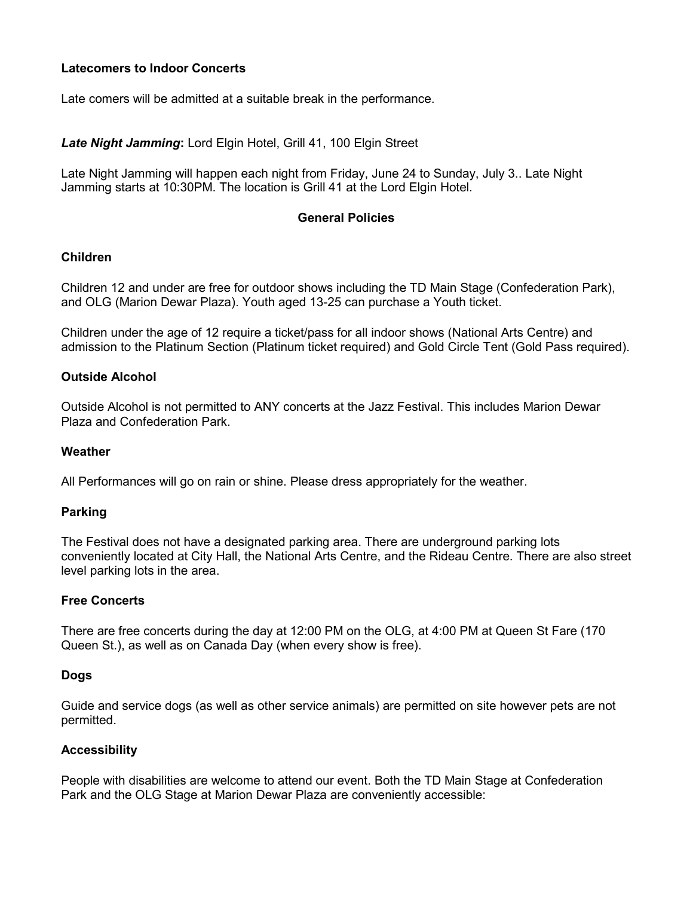# **Latecomers to Indoor Concerts**

Late comers will be admitted at a suitable break in the performance.

## *Late Night Jamming***:** Lord Elgin Hotel, Grill 41, 100 Elgin Street

Late Night Jamming will happen each night from Friday, June 24 to Sunday, July 3.. Late Night Jamming starts at 10:30PM. The location is Grill 41 at the Lord Elgin Hotel.

## **General Policies**

## **Children**

Children 12 and under are free for outdoor shows including the TD Main Stage (Confederation Park), and OLG (Marion Dewar Plaza). Youth aged 13-25 can purchase a Youth ticket.

Children under the age of 12 require a ticket/pass for all indoor shows (National Arts Centre) and admission to the Platinum Section (Platinum ticket required) and Gold Circle Tent (Gold Pass required).

## **Outside Alcohol**

Outside Alcohol is not permitted to ANY concerts at the Jazz Festival. This includes Marion Dewar Plaza and Confederation Park.

### **Weather**

All Performances will go on rain or shine. Please dress appropriately for the weather.

#### **Parking**

The Festival does not have a designated parking area. There are underground parking lots conveniently located at City Hall, the National Arts Centre, and the Rideau Centre. There are also street level parking lots in the area.

#### **Free Concerts**

There are free concerts during the day at 12:00 PM on the OLG, at 4:00 PM at Queen St Fare (170 Queen St.), as well as on Canada Day (when every show is free).

#### **Dogs**

Guide and service dogs (as well as other service animals) are permitted on site however pets are not permitted.

# **Accessibility**

People with disabilities are welcome to attend our event. Both the TD Main Stage at Confederation Park and the OLG Stage at Marion Dewar Plaza are conveniently accessible: